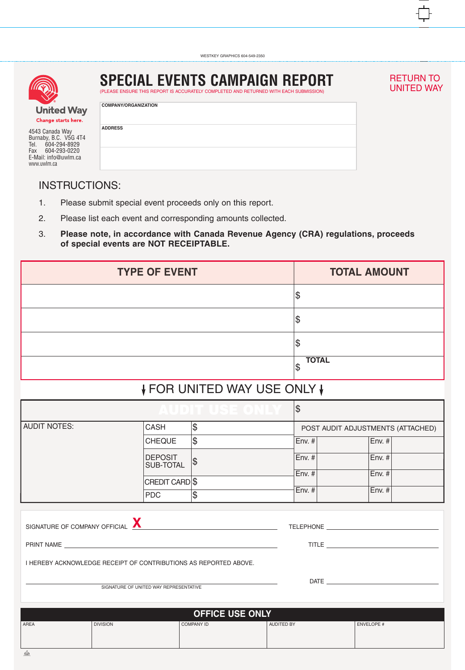

4543 Canada Way Burnaby, B.C. V5G 4T4 Tel. 604-294-8929 Fax 604-293-0220 E-Mail: info@uwlm.ca www.uwlm.ca

## **SPECIAL EVENTS CAMPAIGN REPORT**

(PLEASE ENSURE THIS REPORT IS ACCURATELY COMPLETED AND RETURNED WITH EACH SUBMISSION)

## RETURN TO<br>UNITED WAY

| y | <b>COMPANY/ORGANIZATION</b> |
|---|-----------------------------|
| 4 | <b>ADDRESS</b>              |
|   |                             |

## INSTRUCTIONS:

- 1. Please submit special event proceeds only on this report.
- 2. Please list each event and corresponding amounts collected.
- 3. **Please note, in accordance with Canada Revenue Agency (CRA) regulations, proceeds of special events are NOT RECEIPTABLE.**

| <b>TYPE OF EVENT</b>                                                                     |                                                                  |                        |                   |                                   | <b>TOTAL AMOUNT</b>        |  |  |  |  |  |
|------------------------------------------------------------------------------------------|------------------------------------------------------------------|------------------------|-------------------|-----------------------------------|----------------------------|--|--|--|--|--|
|                                                                                          |                                                                  |                        |                   |                                   | Ι\$                        |  |  |  |  |  |
|                                                                                          |                                                                  |                        |                   |                                   | \$                         |  |  |  |  |  |
|                                                                                          |                                                                  |                        |                   |                                   | \$                         |  |  |  |  |  |
|                                                                                          |                                                                  |                        |                   |                                   | <b>TOTAL</b><br>\$         |  |  |  |  |  |
| ↓ FOR UNITED WAY USE ONLY ↓                                                              |                                                                  |                        |                   |                                   |                            |  |  |  |  |  |
| $\begin{array}{c} \blacksquare & \blacksquare & \blacksquare & \blacksquare \end{array}$ |                                                                  |                        |                   |                                   | $\lvert \mathbb{S} \rvert$ |  |  |  |  |  |
| <b>AUDIT NOTES:</b>                                                                      | CASH                                                             |                        |                   | POST AUDIT ADJUSTMENTS (ATTACHED) |                            |  |  |  |  |  |
|                                                                                          | <b>CHEQUE</b>                                                    | $ \mathfrak{S} $       |                   | Env. #                            | Env.  #                    |  |  |  |  |  |
|                                                                                          | <b>DEPOSIT</b><br>SUB-TOTAL                                      | $ \mathcal{P} $        |                   | Env. #                            | Env. #                     |  |  |  |  |  |
|                                                                                          | CREDIT CARDS                                                     |                        |                   | $\vert$ Env. # $\vert$            | Env. #                     |  |  |  |  |  |
|                                                                                          | <b>PDC</b>                                                       | Ι\$                    |                   | $Env.$ #                          | Env. #                     |  |  |  |  |  |
| SIGNATURE OF COMPANY OFFICIAL <b>X</b>                                                   |                                                                  |                        |                   |                                   |                            |  |  |  |  |  |
|                                                                                          | I HEREBY ACKNOWLEDGE RECEIPT OF CONTRIBUTIONS AS REPORTED ABOVE. |                        |                   |                                   |                            |  |  |  |  |  |
|                                                                                          |                                                                  |                        |                   |                                   |                            |  |  |  |  |  |
|                                                                                          |                                                                  | <b>OFFICE USE ONLY</b> |                   |                                   |                            |  |  |  |  |  |
| AREA                                                                                     | <b>DIVISION</b>                                                  | <b>COMPANY ID</b>      | <b>AUDITED BY</b> |                                   | <b>ENVELOPE #</b>          |  |  |  |  |  |